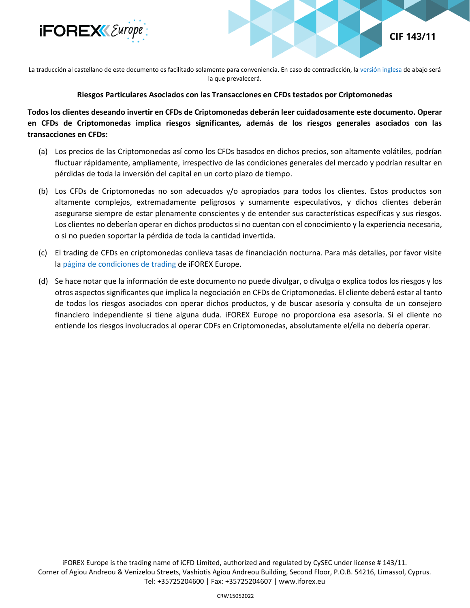



La traducción al castellano de este documento es facilitado solamente para conveniencia. En caso de contradicción, l[a versión inglesa](#page-1-0) de abajo será la que prevalecerá.

## **Riesgos Particulares Asociados con las Transacciones en CFDs testados por Criptomonedas**

**Todos los clientes deseando invertir en CFDs de Criptomonedas deberán leer cuidadosamente este documento. Operar en CFDs de Criptomonedas implica riesgos significantes, además de los riesgos generales asociados con las transacciones en CFDs:**

- (a) Los precios de las Criptomonedas así como los CFDs basados en dichos precios, son altamente volátiles, podrían fluctuar rápidamente, ampliamente, irrespectivo de las condiciones generales del mercado y podrían resultar en pérdidas de toda la inversión del capital en un corto plazo de tiempo.
- (b) Los CFDs de Criptomonedas no son adecuados y/o apropiados para todos los clientes. Estos productos son altamente complejos, extremadamente peligrosos y sumamente especulativos, y dichos clientes deberán asegurarse siempre de estar plenamente conscientes y de entender sus características específicas y sus riesgos. Los clientes no deberían operar en dichos productos si no cuentan con el conocimiento y la experiencia necesaria, o si no pueden soportar la pérdida de toda la cantidad invertida.
- (c) El trading de CFDs en criptomonedas conlleva tasas de financiación nocturna. Para más detalles, por favor visite la [página de condiciones de trading](https://www.iforex.es/condiciones-de-trading) de iFOREX Europe.
- (d) Se hace notar que la información de este documento no puede divulgar, o divulga o explica todos los riesgos y los otros aspectos significantes que implica la negociación en CFDs de Criptomonedas. El cliente deberá estar al tanto de todos los riesgos asociados con operar dichos productos, y de buscar asesoría y consulta de un consejero financiero independiente si tiene alguna duda. iFOREX Europe no proporciona esa asesoría. Si el cliente no entiende los riesgos involucrados al operar CDFs en Criptomonedas, absolutamente el/ella no debería operar.